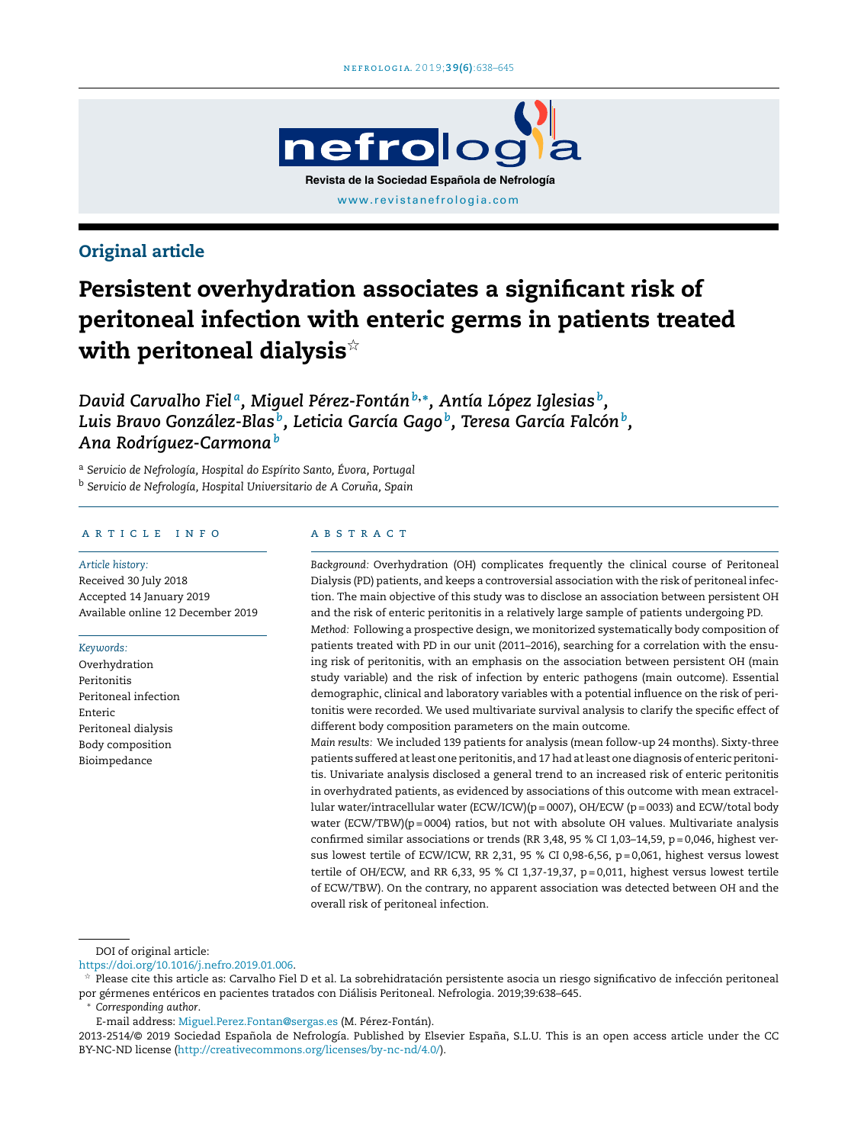

# Original article

# Persistent overhydration associates a significant risk of peritoneal infection with enteric germs in patients treated with peritoneal dialysis $^{\star}$

*David Carvalho Fiel <sup>a</sup> , Miguel Pérez-Fontán<sup>b</sup>*,<sup>∗</sup> *, Antía López Iglesias <sup>b</sup> , Luis Bravo González-Blas <sup>b</sup> , Leticia García Gago <sup>b</sup> , Teresa García Falcón<sup>b</sup> , Ana Rodríguez-Carmona<sup>b</sup>*

<sup>a</sup> *Servicio de Nefrología, Hospital do Espírito Santo, Évora, Portugal* <sup>b</sup> *Servicio de Nefrología, Hospital Universitario de A Coruna, ˜ Spain*

#### a r t i c l e i n f o

*Article history:* Received 30 July 2018 Accepted 14 January 2019 Available online 12 December 2019

*Keywords:*

Overhydration Peritonitis Peritoneal infection Enteric Peritoneal dialysis Body composition Bioimpedance

#### A B S T R A C T

*Background:* Overhydration (OH) complicates frequently the clinical course of Peritoneal Dialysis (PD) patients, and keeps a controversial association with the risk of peritoneal infection. The main objective of this study was to disclose an association between persistent OH and the risk of enteric peritonitis in a relatively large sample of patients undergoing PD.

*Method:* Following a prospective design, we monitorized systematically body composition of patients treated with PD in our unit (2011–2016), searching for a correlation with the ensuing risk of peritonitis, with an emphasis on the association between persistent OH (main study variable) and the risk of infection by enteric pathogens (main outcome). Essential demographic, clinical and laboratory variables with a potential influence on the risk of peritonitis were recorded. We used multivariate survival analysis to clarify the specific effect of different body composition parameters on the main outcome.

*Main results:* We included 139 patients for analysis (mean follow-up 24 months). Sixty-three patients suffered atleast one peritonitis, and 17 had atleast one diagnosis of enteric peritonitis. Univariate analysis disclosed a general trend to an increased risk of enteric peritonitis in overhydrated patients, as evidenced by associations of this outcome with mean extracellular water/intracellular water (ECW/ICW)(p = 0007), OH/ECW (p = 0033) and ECW/total body water  $(ECW/TBW)(p = 0004)$  ratios, but not with absolute OH values. Multivariate analysis confirmed similar associations or trends (RR 3,48, 95 % CI 1,03-14,59,  $p = 0,046$ , highest versus lowest tertile of ECW/ICW, RR 2,31, 95 % CI 0,98-6,56, p = 0,061, highest versus lowest tertile of OH/ECW, and RR 6,33, 95 % CI 1,37-19,37,  $p = 0.011$ , highest versus lowest tertile of ECW/TBW). On the contrary, no apparent association was detected between OH and the overall risk of peritoneal infection.

DOI of original article:

<https://doi.org/10.1016/j.nefro.2019.01.006>.

 $\frac{1}{24}$  Please cite this article as: Carvalho Fiel D et al. La sobrehidratación persistente asocia un riesgo significativo de infección peritoneal por gérmenes entéricos en pacientes tratados con Diálisis Peritoneal. Nefrologia. 2019;39:638–645.

<sup>∗</sup> *Corresponding author*.

E-mail address: [Miguel.Perez.Fontan@sergas.es](mailto:Miguel.Perez.Fontan@sergas.es) (M. Pérez-Fontán).

<sup>2013-2514/© 2019</sup> Sociedad Española de Nefrología. Published by Elsevier España, S.L.U. This is an open access article under the CC BY-NC-ND license [\(http://creativecommons.org/licenses/by-nc-nd/4.0/](http://creativecommons.org/licenses/by-nc-nd/4.0/)).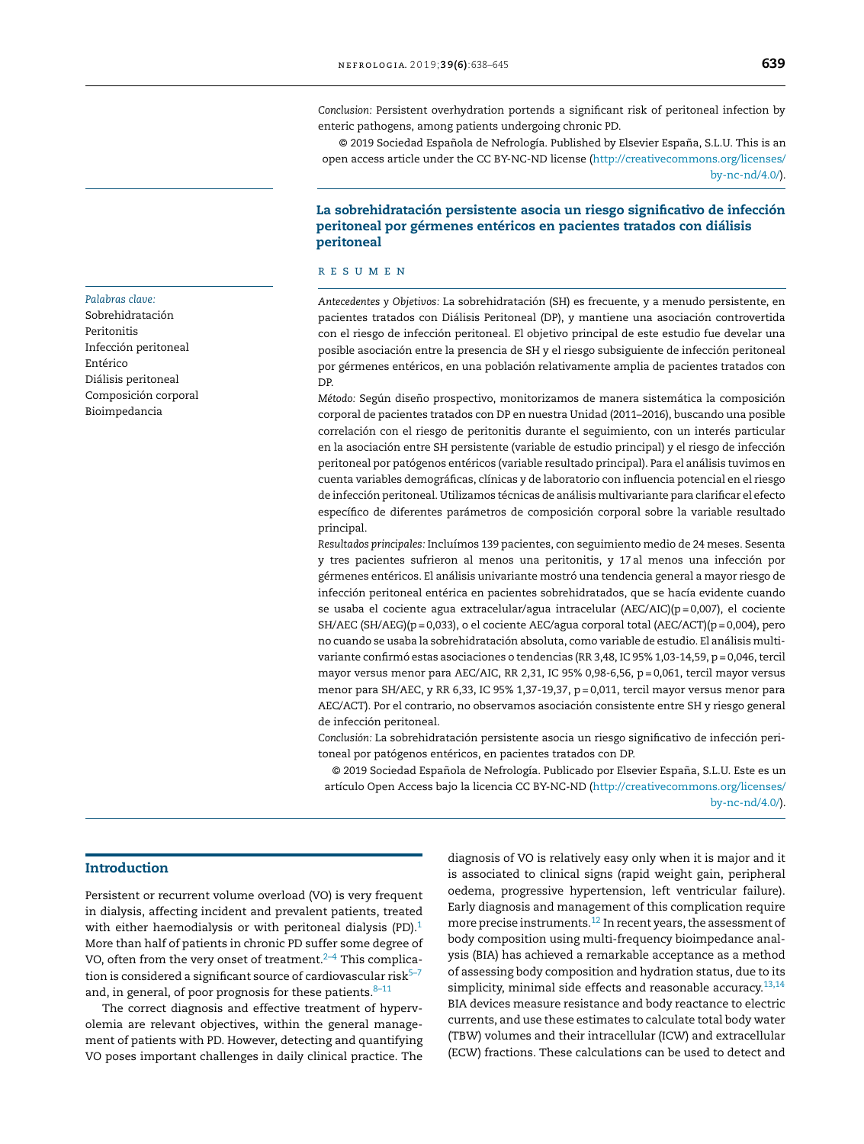*Conclusion:* Persistent overhydration portends a significant risk of peritoneal infection by enteric pathogens, among patients undergoing chronic PD.

© 2019 Sociedad Española de Nefrología. Published by Elsevier España, S.L.U. This is an open access article under the CC BY-NC-ND license ([http://creativecommons.org/licenses/](http://creativecommons.org/licenses/by-nc-nd/4.0/) [by-nc-nd/4.0/](http://creativecommons.org/licenses/by-nc-nd/4.0/)).

## La sobrehidratación persistente asocia un riesgo significativo de infección peritoneal por gérmenes entéricos en pacientes tratados con diálisis peritoneal

#### r e s u m e n

*Antecedentes y Objetivos:* La sobrehidratación (SH) es frecuente, y a menudo persistente, en pacientes tratados con Diálisis Peritoneal (DP), y mantiene una asociación controvertida con el riesgo de infección peritoneal. El objetivo principal de este estudio fue develar una posible asociación entre la presencia de SH y el riesgo subsiguiente de infección peritoneal por gérmenes entéricos, en una población relativamente amplia de pacientes tratados con DP.

*Método:* Según diseño prospectivo, monitorizamos de manera sistemática la composición corporal de pacientes tratados con DP en nuestra Unidad (2011–2016), buscando una posible correlación con el riesgo de peritonitis durante el seguimiento, con un interés particular en la asociación entre SH persistente (variable de estudio principal) y el riesgo de infección peritoneal por patógenos entéricos (variable resultado principal). Para el análisis tuvimos en cuenta variables demográficas, clínicas y de laboratorio con influencia potencial en el riesgo de infección peritoneal. Utilizamos técnicas de análisis multivariante para clarificar el efecto específico de diferentes parámetros de composición corporal sobre la variable resultado principal.

*Resultados principales:* Incluímos 139 pacientes, con seguimiento medio de 24 meses. Sesenta y tres pacientes sufrieron al menos una peritonitis, y 17 al menos una infección por gérmenes entéricos. El análisis univariante mostró una tendencia general a mayor riesgo de infección peritoneal entérica en pacientes sobrehidratados, que se hacía evidente cuando se usaba el cociente agua extracelular/agua intracelular (AEC/AIC)(p = 0,007), el cociente SH/AEC (SH/AEG)( $p = 0,033$ ), o el cociente AEC/agua corporal total (AEC/ACT)( $p = 0,004$ ), pero no cuando se usaba la sobrehidratación absoluta, como variable de estudio. El análisis multivariante confirmó estas asociaciones o tendencias (RR 3,48, IC 95% 1,03-14,59, p = 0,046, tercil mayor versus menor para AEC/AIC, RR 2,31, IC 95% 0,98-6,56,  $p = 0,061$ , tercil mayor versus menor para SH/AEC, y RR 6,33, IC 95% 1,37-19,37, p = 0,011, tercil mayor versus menor para AEC/ACT). Por el contrario, no observamos asociación consistente entre SH y riesgo general de infección peritoneal.

*Conclusión:* La sobrehidratación persistente asocia un riesgo significativo de infección peritoneal por patógenos entéricos, en pacientes tratados con DP.

© 2019 Sociedad Española de Nefrología. Publicado por Elsevier España, S.L.U. Este es un artículo Open Access bajo la licencia CC BY-NC-ND ([http://creativecommons.org/licenses/](http://creativecommons.org/licenses/by-nc-nd/4.0/) [by-nc-nd/4.0/](http://creativecommons.org/licenses/by-nc-nd/4.0/)).

#### *Palabras clave:*

Sobrehidratación Peritonitis Infección peritoneal Entérico Diálisis peritoneal Composición corporal Bioimpedancia

Persistent or recurrent volume overload (VO) is very frequent in dialysis, affecting incident and prevalent patients, treated with either haemodialysis or with peritoneal dialysis (PD). $1$ More than half of patients in chronic PD suffer some degree of VO, often from the very onset of treatment. $2-4$  This complication is considered a significant source of cardiovascular risk $5-7$ and, in general, of poor prognosis for these patients. $8-11$ 

The correct diagnosis and effective treatment of hypervolemia are relevant objectives, within the general management of patients with PD. However, detecting and quantifying VO poses important challenges in daily clinical practice. The

diagnosis of VO is relatively easy only when it is major and it is associated to clinical signs (rapid weight gain, peripheral oedema, progressive hypertension, left ventricular failure). Early diagnosis and management of this complication require more precise instruments. $^{12}$  $^{12}$  $^{12}$  In recent years, the assessment of body composition using multi-frequency bioimpedance analysis (BIA) has achieved a remarkable acceptance as a method of assessing body composition and hydration status, due to its simplicity, minimal side effects and reasonable accuracy.<sup>[13,14](#page-7-0)</sup> BIA devices measure resistance and body reactance to electric currents, and use these estimates to calculate total body water (TBW) volumes and their intracellular (ICW) and extracellular (ECW) fractions. These calculations can be used to detect and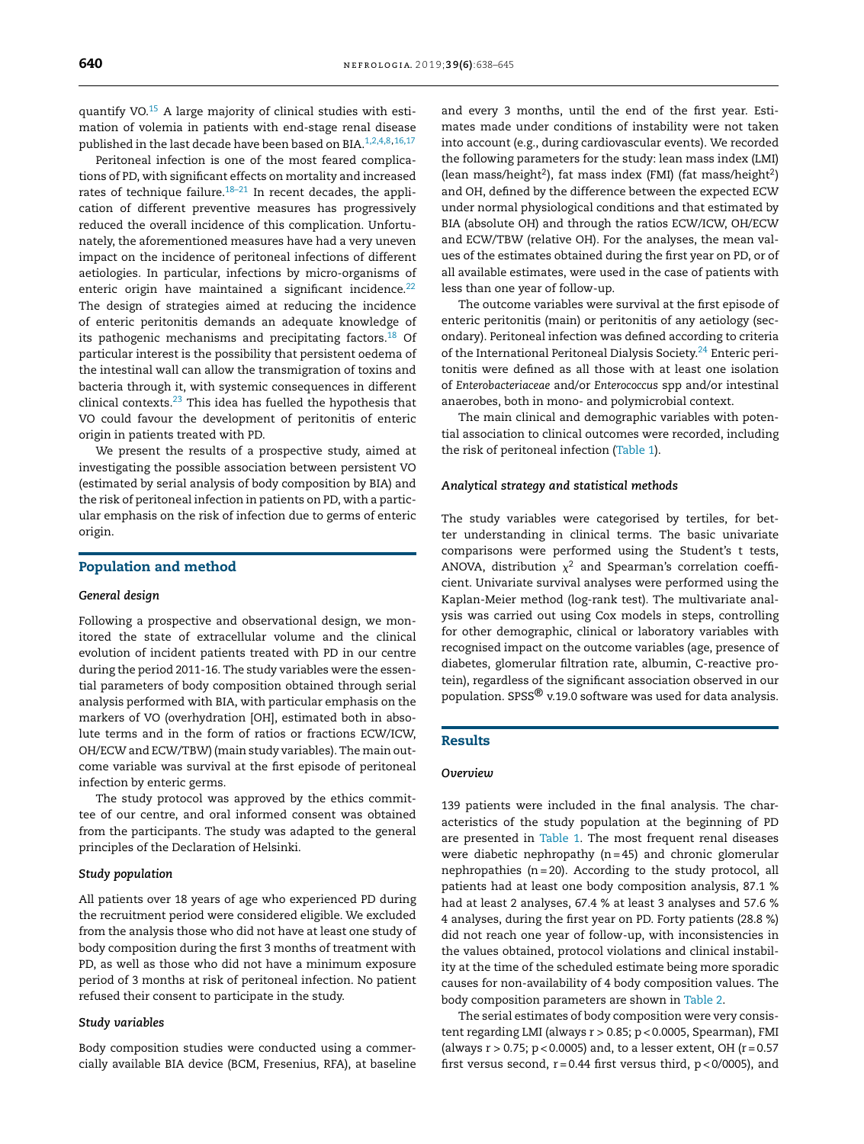quantify VO. $15$  A large majority of clinical studies with estimation of volemia in patients with end-stage renal disease published in the last decade have been based on BIA.<sup>[1,2,4,8,](#page-6-0)[16,17](#page-7-0)</sup>

Peritoneal infection is one of the most feared complications of PD, with significant effects on mortality and increased rates of technique failure. $18-21$  In recent decades, the application of different preventive measures has progressively reduced the overall incidence of this complication. Unfortunately, the aforementioned measures have had a very uneven impact on the incidence of peritoneal infections of different aetiologies. In particular, infections by micro-organisms of enteric origin have maintained a significant incidence.<sup>[22](#page-7-0)</sup> The design of strategies aimed at reducing the incidence of enteric peritonitis demands an adequate knowledge of its pathogenic mechanisms and precipitating factors.<sup>[18](#page-7-0)</sup> Of particular interest is the possibility that persistent oedema of the intestinal wall can allow the transmigration of toxins and bacteria through it, with systemic consequences in different clinical contexts. $23$  This idea has fuelled the hypothesis that VO could favour the development of peritonitis of enteric origin in patients treated with PD.

We present the results of a prospective study, aimed at investigating the possible association between persistent VO (estimated by serial analysis of body composition by BIA) and the risk of peritoneal infection in patients on PD, with a particular emphasis on the risk of infection due to germs of enteric origin.

#### Population and method

#### *General design*

Following a prospective and observational design, we monitored the state of extracellular volume and the clinical evolution of incident patients treated with PD in our centre during the period 2011-16. The study variables were the essential parameters of body composition obtained through serial analysis performed with BIA, with particular emphasis on the markers of VO (overhydration [OH], estimated both in absolute terms and in the form of ratios or fractions ECW/ICW, OH/ECW and ECW/TBW) (main study variables). The main outcome variable was survival at the first episode of peritoneal infection by enteric germs.

The study protocol was approved by the ethics committee of our centre, and oral informed consent was obtained from the participants. The study was adapted to the general principles of the Declaration of Helsinki.

#### *Study population*

All patients over 18 years of age who experienced PD during the recruitment period were considered eligible. We excluded from the analysis those who did not have at least one study of body composition during the first 3 months of treatment with PD, as well as those who did not have a minimum exposure period of 3 months at risk of peritoneal infection. No patient refused their consent to participate in the study.

#### *Study variables*

Body composition studies were conducted using a commercially available BIA device (BCM, Fresenius, RFA), at baseline and every 3 months, until the end of the first year. Estimates made under conditions of instability were not taken into account (e.g., during cardiovascular events). We recorded the following parameters for the study: lean mass index (LMI) (lean mass/height<sup>2</sup>), fat mass index (FMI) (fat mass/height<sup>2</sup>) and OH, defined by the difference between the expected ECW under normal physiological conditions and that estimated by BIA (absolute OH) and through the ratios ECW/ICW, OH/ECW and ECW/TBW (relative OH). For the analyses, the mean values of the estimates obtained during the first year on PD, or of all available estimates, were used in the case of patients with less than one year of follow-up.

The outcome variables were survival at the first episode of enteric peritonitis (main) or peritonitis of any aetiology (secondary). Peritoneal infection was defined according to criteria of the International Peritoneal Dialysis Society.<sup>[24](#page-7-0)</sup> Enteric peritonitis were defined as all those with at least one isolation of *Enterobacteriaceae* and/or *Enterococcus* spp and/or intestinal anaerobes, both in mono- and polymicrobial context.

The main clinical and demographic variables with potential association to clinical outcomes were recorded, including the risk of peritoneal infection [\(Table](#page-3-0) 1).

#### *Analytical strategy and statistical methods*

The study variables were categorised by tertiles, for better understanding in clinical terms. The basic univariate comparisons were performed using the Student's t tests, ANOVA, distribution  $\chi^2$  and Spearman's correlation coefficient. Univariate survival analyses were performed using the Kaplan-Meier method (log-rank test). The multivariate analysis was carried out using Cox models in steps, controlling for other demographic, clinical or laboratory variables with recognised impact on the outcome variables (age, presence of diabetes, glomerular filtration rate, albumin, C-reactive protein), regardless of the significant association observed in our population. SPSS® v.19.0 software was used for data analysis.

#### Results

#### *Overview*

139 patients were included in the final analysis. The characteristics of the study population at the beginning of PD are presented in [Table](#page-3-0) 1. The most frequent renal diseases were diabetic nephropathy  $(n = 45)$  and chronic glomerular nephropathies ( $n = 20$ ). According to the study protocol, all patients had at least one body composition analysis, 87.1 % had at least 2 analyses, 67.4 % at least 3 analyses and 57.6 % 4 analyses, during the first year on PD. Forty patients (28.8 %) did not reach one year of follow-up, with inconsistencies in the values obtained, protocol violations and clinical instability at the time of the scheduled estimate being more sporadic causes for non-availability of 4 body composition values. The body composition parameters are shown in [Table](#page-3-0) 2.

The serial estimates of body composition were very consistent regarding LMI (always r > 0.85; p < 0.0005, Spearman), FMI (always  $r > 0.75$ ;  $p < 0.0005$ ) and, to a lesser extent, OH ( $r = 0.57$ ) first versus second,  $r = 0.44$  first versus third,  $p < 0/0005$ ), and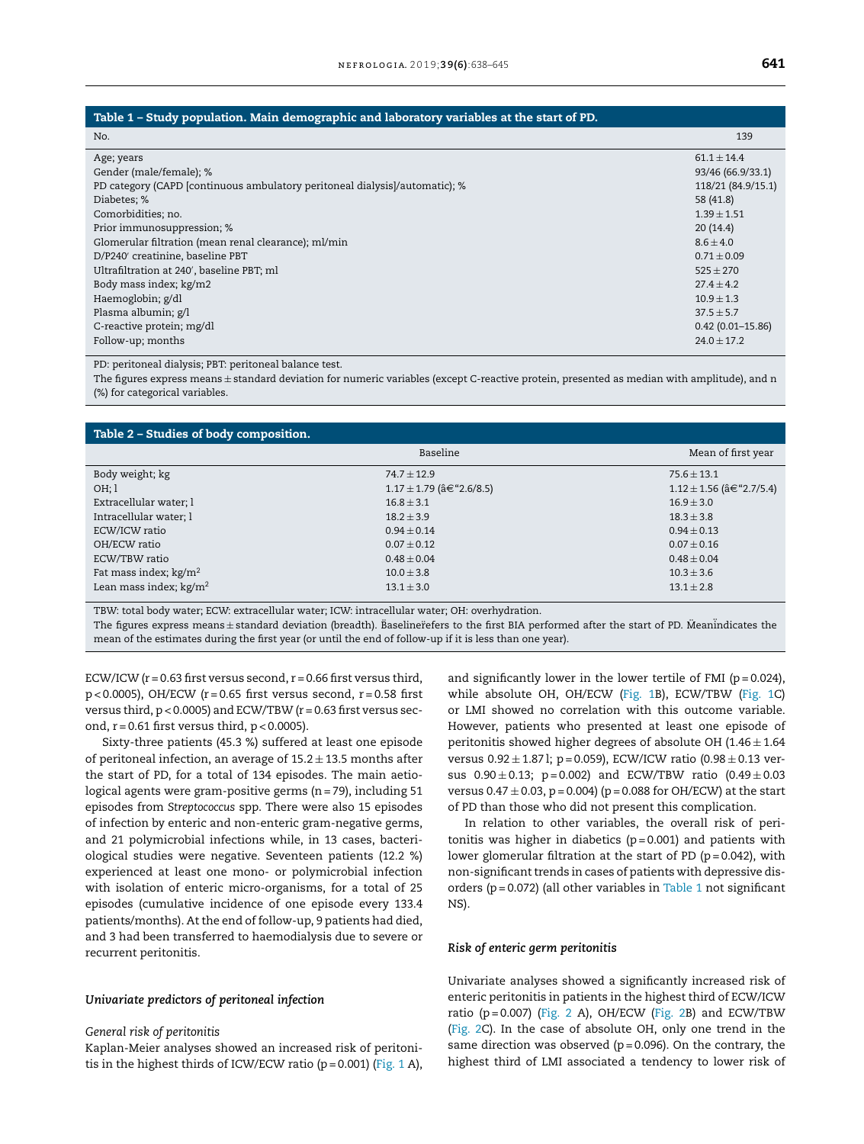#### <span id="page-3-0"></span>Table 1 – Study population. Main demographic and laboratory variables at the start of PD.

| No.                                                                         | 139                  |
|-----------------------------------------------------------------------------|----------------------|
| Age; years                                                                  | $61.1 \pm 14.4$      |
| Gender (male/female); %                                                     | 93/46 (66.9/33.1)    |
| PD category (CAPD [continuous ambulatory peritoneal dialysis]/automatic); % | 118/21 (84.9/15.1)   |
| Diabetes; %                                                                 | 58 (41.8)            |
| Comorbidities; no.                                                          | $1.39 \pm 1.51$      |
| Prior immunosuppression; %                                                  | 20(14.4)             |
| Glomerular filtration (mean renal clearance); ml/min                        | $8.6 \pm 4.0$        |
| D/P240' creatinine, baseline PBT                                            | $0.71 \pm 0.09$      |
| Ultrafiltration at 240', baseline PBT; ml                                   | $525 \pm 270$        |
| Body mass index; kg/m2                                                      | $27.4 + 4.2$         |
| Haemoglobin; g/dl                                                           | $10.9 \pm 1.3$       |
| Plasma albumin; g/l                                                         | $37.5 \pm 5.7$       |
| C-reactive protein; mg/dl                                                   | $0.42(0.01 - 15.86)$ |
| Follow-up; months                                                           | $24.0 + 17.2$        |

#### PD: peritoneal dialysis; PBT: peritoneal balance test.

The figures express means ± standard deviation for numeric variables (except C-reactive protein, presented as median with amplitude), and n (%) for categorical variables.

#### Table 2 – Studies of body composition.

|                          | Baseline                    |                                    |
|--------------------------|-----------------------------|------------------------------------|
| Body weight; kg          | $74.7 + 12.9$               | $75.6 + 13.1$                      |
| OH:1                     | $1.17 \pm 1.79$ (†"2.6/8.5) | $1.12 \pm 1.56$ (â $\in$ "2.7/5.4) |
| Extracellular water; l   | $16.8 \pm 3.1$              | $16.9 \pm 3.0$                     |
| Intracellular water; l   | $18.2 \pm 3.9$              | $18.3 \pm 3.8$                     |
| ECW/ICW ratio            | $0.94 \pm 0.14$             | $0.94 \pm 0.13$                    |
| OH/ECW ratio             | $0.07 + 0.12$               | $0.07 \pm 0.16$                    |
| ECW/TBW ratio            | $0.48 \pm 0.04$             | $0.48 \pm 0.04$                    |
| Fat mass index; $kg/m2$  | $10.0 \pm 3.8$              | $10.3 \pm 3.6$                     |
| Lean mass index; $kg/m2$ | $13.1 \pm 3.0$              | $13.1 \pm 2.8$                     |

TBW: total body water; ECW: extracellular water; ICW: intracellular water; OH: overhydration.

The figures express means $\pm$ standard deviation (breadth). Baselinerefers to the first BIA performed after the start of PD. Meanindicates the mean of the estimates during the first year (or until the end of follow-up if it is less than one year).

ECW/ICW ( $r = 0.63$  first versus second,  $r = 0.66$  first versus third,  $p$  < 0.0005), OH/ECW (r = 0.65 first versus second, r = 0.58 first versus third,  $p < 0.0005$ ) and ECW/TBW ( $r = 0.63$  first versus second,  $r = 0.61$  first versus third,  $p < 0.0005$ ).

Sixty-three patients (45.3 %) suffered at least one episode of peritoneal infection, an average of  $15.2 \pm 13.5$  months after the start of PD, for a total of 134 episodes. The main aetiological agents were gram-positive germs (n= 79), including 51 episodes from *Streptococcus* spp. There were also 15 episodes of infection by enteric and non-enteric gram-negative germs, and 21 polymicrobial infections while, in 13 cases, bacteriological studies were negative. Seventeen patients (12.2 %) experienced at least one mono- or polymicrobial infection with isolation of enteric micro-organisms, for a total of 25 episodes (cumulative incidence of one episode every 133.4 patients/months). At the end of follow-up, 9 patients had died, and 3 had been transferred to haemodialysis due to severe or recurrent peritonitis.

#### *Univariate predictors of peritoneal infection*

#### *General risk of peritonitis*

Kaplan-Meier analyses showed an increased risk of peritonitis in the highest thirds of ICW/ECW ratio ( $p = 0.001$ ) [\(Fig.](#page-4-0) 1 A),

and significantly lower in the lower tertile of FMI ( $p = 0.024$ ), while absolute OH, OH/ECW [\(Fig.](#page-4-0) 1B), ECW/TBW ([Fig.](#page-4-0) 1C) or LMI showed no correlation with this outcome variable. However, patients who presented at least one episode of peritonitis showed higher degrees of absolute OH (1.46  $\pm$  1.64 versus  $0.92 \pm 1.87$  l; p = 0.059), ECW/ICW ratio  $(0.98 \pm 0.13$  versus  $0.90 \pm 0.13$ ; p=0.002) and ECW/TBW ratio  $(0.49 \pm 0.03)$ versus  $0.47 \pm 0.03$ , p = 0.004) (p = 0.088 for OH/ECW) at the start of PD than those who did not present this complication.

In relation to other variables, the overall risk of peritonitis was higher in diabetics  $(p=0.001)$  and patients with lower glomerular filtration at the start of PD ( $p = 0.042$ ), with non-significant trends in cases of patients with depressive disorders ( $p = 0.072$ ) (all other variables in Table 1 not significant NS).

#### *Risk of enteric germ peritonitis*

Univariate analyses showed a significantly increased risk of enteric peritonitis in patients in the highest third of ECW/ICW ratio ( $p = 0.007$ ) ([Fig.](#page-4-0) 2 A), OH/ECW (Fig. 2B) and ECW/TBW ([Fig.](#page-4-0) 2C). In the case of absolute OH, only one trend in the same direction was observed ( $p = 0.096$ ). On the contrary, the highest third of LMI associated a tendency to lower risk of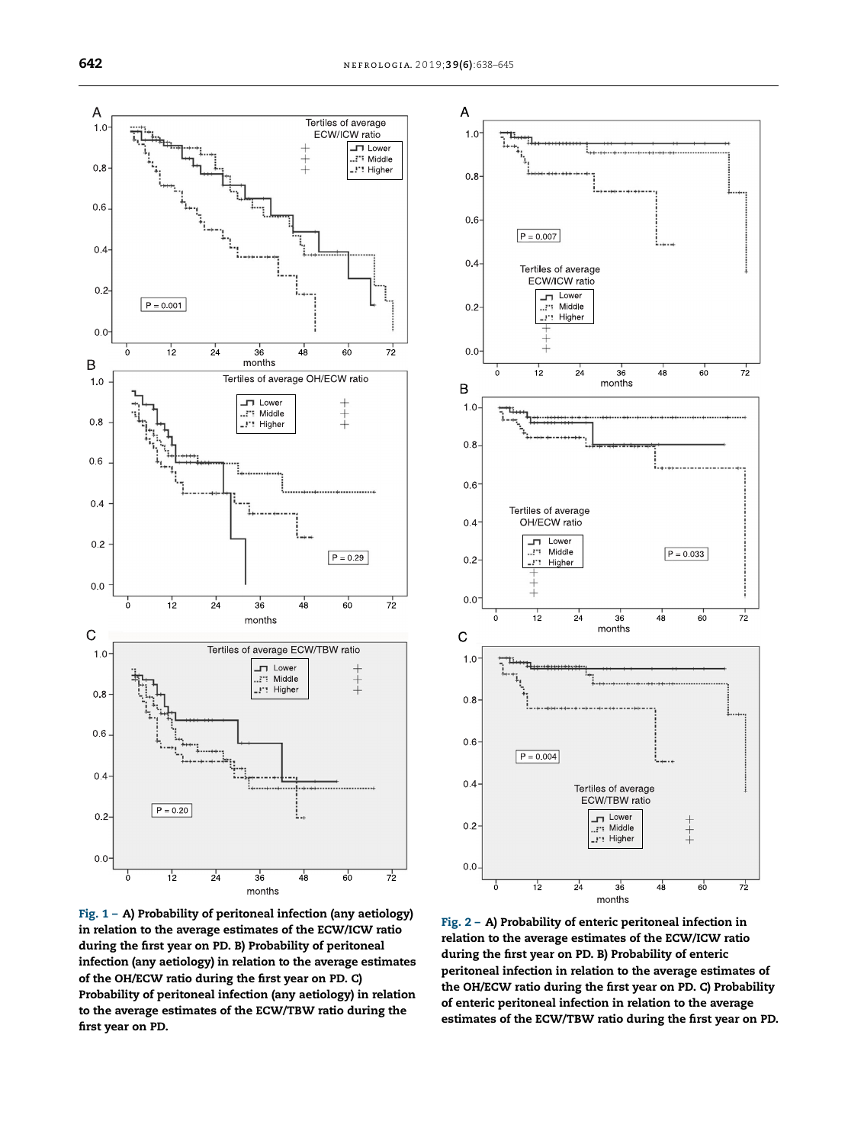<span id="page-4-0"></span>

Fig. 1 – A) Probability of peritoneal infection (any aetiology) in relation to the average estimates of the ECW/ICW ratio during the first year on PD. B) Probability of peritoneal infection (any aetiology) in relation to the average estimates of the OH/ECW ratio during the first year on PD. C) Probability of peritoneal infection (any aetiology) in relation to the average estimates of the ECW/TBW ratio during the first year on PD.



Fig. 2 – A) Probability of enteric peritoneal infection in relation to the average estimates of the ECW/ICW ratio during the first year on PD. B) Probability of enteric peritoneal infection in relation to the average estimates of the OH/ECW ratio during the first year on PD. C) Probability of enteric peritoneal infection in relation to the average estimates of the ECW/TBW ratio during the first year on PD.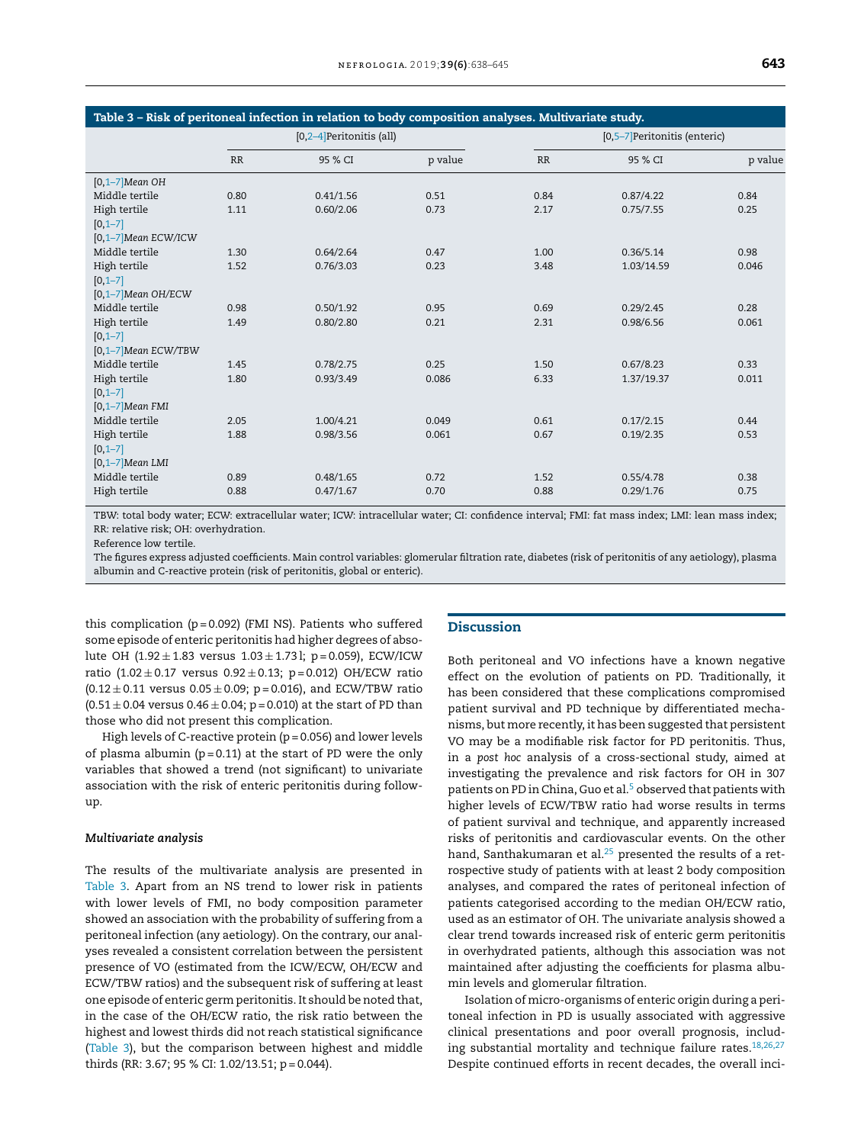| Table 3 - Risk of peritoneal infection in relation to body composition analyses. Multivariate study. |                             |           |         |                               |            |         |  |  |  |
|------------------------------------------------------------------------------------------------------|-----------------------------|-----------|---------|-------------------------------|------------|---------|--|--|--|
|                                                                                                      | $[0,2-4]$ Peritonitis (all) |           |         | [0,5-7] Peritonitis (enteric) |            |         |  |  |  |
|                                                                                                      | <b>RR</b>                   | 95 % CI   | p value | RR                            | 95 % CI    | p value |  |  |  |
| $[0,1-7]$ Mean OH                                                                                    |                             |           |         |                               |            |         |  |  |  |
| Middle tertile                                                                                       | 0.80                        | 0.41/1.56 | 0.51    | 0.84                          | 0.87/4.22  | 0.84    |  |  |  |
| High tertile                                                                                         | 1.11                        | 0.60/2.06 | 0.73    | 2.17                          | 0.75/7.55  | 0.25    |  |  |  |
| $[0, 1 - 7]$                                                                                         |                             |           |         |                               |            |         |  |  |  |
| $[0,1-7]$ Mean ECW/ICW                                                                               |                             |           |         |                               |            |         |  |  |  |
| Middle tertile                                                                                       | 1.30                        | 0.64/2.64 | 0.47    | 1.00                          | 0.36/5.14  | 0.98    |  |  |  |
| High tertile                                                                                         | 1.52                        | 0.76/3.03 | 0.23    | 3.48                          | 1.03/14.59 | 0.046   |  |  |  |
| $[0,1-7]$                                                                                            |                             |           |         |                               |            |         |  |  |  |
| $[0,1-7]$ Mean OH/ECW                                                                                |                             |           |         |                               |            |         |  |  |  |
| Middle tertile                                                                                       | 0.98                        | 0.50/1.92 | 0.95    | 0.69                          | 0.29/2.45  | 0.28    |  |  |  |
| High tertile                                                                                         | 1.49                        | 0.80/2.80 | 0.21    | 2.31                          | 0.98/6.56  | 0.061   |  |  |  |
| $[0, 1 - 7]$                                                                                         |                             |           |         |                               |            |         |  |  |  |
| [0,1-7]Mean ECW/TBW                                                                                  |                             |           |         |                               |            |         |  |  |  |
| Middle tertile                                                                                       | 1.45                        | 0.78/2.75 | 0.25    | 1.50                          | 0.67/8.23  | 0.33    |  |  |  |
| High tertile                                                                                         | 1.80                        | 0.93/3.49 | 0.086   | 6.33                          | 1.37/19.37 | 0.011   |  |  |  |
| $[0, 1 - 7]$                                                                                         |                             |           |         |                               |            |         |  |  |  |
| $[0,1-7]$ Mean FMI                                                                                   |                             |           |         |                               |            |         |  |  |  |
| Middle tertile                                                                                       | 2.05                        | 1.00/4.21 | 0.049   | 0.61                          | 0.17/2.15  | 0.44    |  |  |  |
| High tertile                                                                                         | 1.88                        | 0.98/3.56 | 0.061   | 0.67                          | 0.19/2.35  | 0.53    |  |  |  |
| $[0, 1 - 7]$                                                                                         |                             |           |         |                               |            |         |  |  |  |
| $[0,1-7]$ Mean LMI                                                                                   |                             |           |         |                               |            |         |  |  |  |
| Middle tertile                                                                                       | 0.89                        | 0.48/1.65 | 0.72    | 1.52                          | 0.55/4.78  | 0.38    |  |  |  |
| High tertile                                                                                         | 0.88                        | 0.47/1.67 | 0.70    | 0.88                          | 0.29/1.76  | 0.75    |  |  |  |

TBW: total body water; ECW: extracellular water; ICW: intracellular water; CI: confidence interval; FMI: fat mass index; LMI: lean mass index; RR: relative risk; OH: overhydration.

Reference low tertile.

The figures express adjusted coefficients. Main control variables: glomerular filtration rate, diabetes (risk of peritonitis of any aetiology), plasma albumin and C-reactive protein (risk of peritonitis, global or enteric).

this complication ( $p = 0.092$ ) (FMI NS). Patients who suffered some episode of enteric peritonitis had higher degrees of absolute OH  $(1.92 \pm 1.83$  versus  $1.03 \pm 1.73$  l; p = 0.059), ECW/ICW ratio (1.02  $\pm$  0.17 versus 0.92  $\pm$  0.13; p = 0.012) OH/ECW ratio  $(0.12 \pm 0.11$  versus  $0.05 \pm 0.09$ ; p = 0.016), and ECW/TBW ratio  $(0.51 \pm 0.04$  versus  $0.46 \pm 0.04$ ; p = 0.010) at the start of PD than those who did not present this complication.

High levels of C-reactive protein ( $p = 0.056$ ) and lower levels of plasma albumin ( $p = 0.11$ ) at the start of PD were the only variables that showed a trend (not significant) to univariate association with the risk of enteric peritonitis during followup.

#### *Multivariate analysis*

The results of the multivariate analysis are presented in Table 3. Apart from an NS trend to lower risk in patients with lower levels of FMI, no body composition parameter showed an association with the probability of suffering from a peritoneal infection (any aetiology). On the contrary, our analyses revealed a consistent correlation between the persistent presence of VO (estimated from the ICW/ECW, OH/ECW and ECW/TBW ratios) and the subsequent risk of suffering at least one episode of enteric germ peritonitis. It should be noted that, in the case of the OH/ECW ratio, the risk ratio between the highest and lowest thirds did not reach statistical significance (Table 3), but the comparison between highest and middle thirds (RR: 3.67; 95 % CI: 1.02/13.51; p = 0.044).

#### **Discussion**

Both peritoneal and VO infections have a known negative effect on the evolution of patients on PD. Traditionally, it has been considered that these complications compromised patient survival and PD technique by differentiated mechanisms, but more recently, it has been suggested that persistent VO may be a modifiable risk factor for PD peritonitis. Thus, in a *post hoc* analysis of a cross-sectional study, aimed at investigating the prevalence and risk factors for OH in 307 patients on PD in China, Guo et al.<sup>[5](#page-6-0)</sup> observed that patients with higher levels of ECW/TBW ratio had worse results in terms of patient survival and technique, and apparently increased risks of peritonitis and cardiovascular events. On the other hand, Santhakumaran et al. $^{25}$  $^{25}$  $^{25}$  presented the results of a retrospective study of patients with at least 2 body composition analyses, and compared the rates of peritoneal infection of patients categorised according to the median OH/ECW ratio, used as an estimator of OH. The univariate analysis showed a clear trend towards increased risk of enteric germ peritonitis in overhydrated patients, although this association was not maintained after adjusting the coefficients for plasma albumin levels and glomerular filtration.

Isolation of micro-organisms of enteric origin during a peritoneal infection in PD is usually associated with aggressive clinical presentations and poor overall prognosis, including substantial mortality and technique failure rates. $18,26,27$ Despite continued efforts in recent decades, the overall inci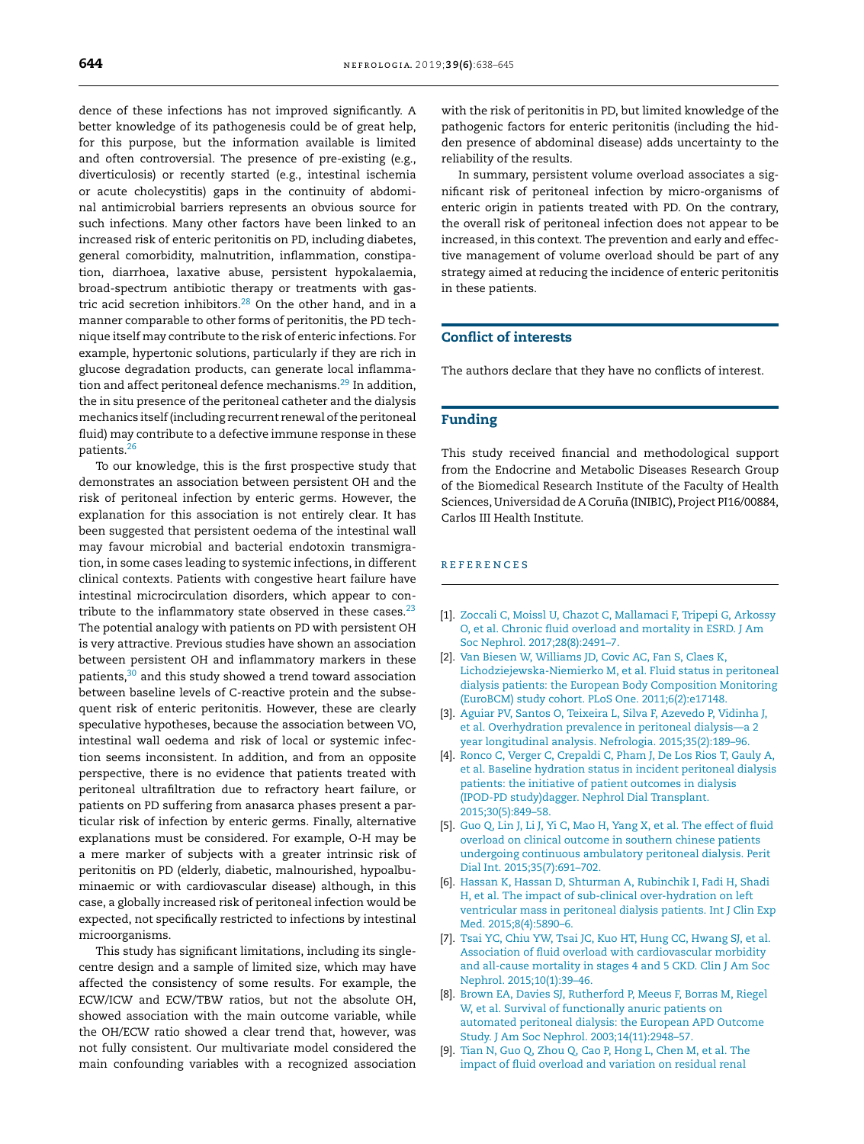<span id="page-6-0"></span>dence of these infections has not improved significantly. A better knowledge of its pathogenesis could be of great help, for this purpose, but the information available is limited and often controversial. The presence of pre-existing (e.g., diverticulosis) or recently started (e.g., intestinal ischemia or acute cholecystitis) gaps in the continuity of abdominal antimicrobial barriers represents an obvious source for such infections. Many other factors have been linked to an increased risk of enteric peritonitis on PD, including diabetes, general comorbidity, malnutrition, inflammation, constipation, diarrhoea, laxative abuse, persistent hypokalaemia, broad-spectrum antibiotic therapy or treatments with gas-tric acid secretion inhibitors.<sup>[28](#page-7-0)</sup> On the other hand, and in a manner comparable to other forms of peritonitis, the PD technique itself may contribute to the risk of enteric infections. For example, hypertonic solutions, particularly if they are rich in glucose degradation products, can generate local inflamma-tion and affect peritoneal defence mechanisms.<sup>[29](#page-7-0)</sup> In addition, the in situ presence of the peritoneal catheter and the dialysis mechanics itself (including recurrent renewal of the peritoneal fluid) may contribute to a defective immune response in these patients.[26](#page-7-0)

To our knowledge, this is the first prospective study that demonstrates an association between persistent OH and the risk of peritoneal infection by enteric germs. However, the explanation for this association is not entirely clear. It has been suggested that persistent oedema of the intestinal wall may favour microbial and bacterial endotoxin transmigration, in some cases leading to systemic infections, in different clinical contexts. Patients with congestive heart failure have intestinal microcirculation disorders, which appear to contribute to the inflammatory state observed in these cases. $^{23}$  $^{23}$  $^{23}$ The potential analogy with patients on PD with persistent OH is very attractive. Previous studies have shown an association between persistent OH and inflammatory markers in these patients,[30](#page-7-0) and this study showed a trend toward association between baseline levels of C-reactive protein and the subsequent risk of enteric peritonitis. However, these are clearly speculative hypotheses, because the association between VO, intestinal wall oedema and risk of local or systemic infection seems inconsistent. In addition, and from an opposite perspective, there is no evidence that patients treated with peritoneal ultrafiltration due to refractory heart failure, or patients on PD suffering from anasarca phases present a particular risk of infection by enteric germs. Finally, alternative explanations must be considered. For example, O-H may be a mere marker of subjects with a greater intrinsic risk of peritonitis on PD (elderly, diabetic, malnourished, hypoalbuminaemic or with cardiovascular disease) although, in this case, a globally increased risk of peritoneal infection would be expected, not specifically restricted to infections by intestinal microorganisms.

This study has significant limitations, including its singlecentre design and a sample of limited size, which may have affected the consistency of some results. For example, the ECW/ICW and ECW/TBW ratios, but not the absolute OH, showed association with the main outcome variable, while the OH/ECW ratio showed a clear trend that, however, was not fully consistent. Our multivariate model considered the main confounding variables with a recognized association

with the risk of peritonitis in PD, but limited knowledge of the pathogenic factors for enteric peritonitis (including the hidden presence of abdominal disease) adds uncertainty to the reliability of the results.

In summary, persistent volume overload associates a significant risk of peritoneal infection by micro-organisms of enteric origin in patients treated with PD. On the contrary, the overall risk of peritoneal infection does not appear to be increased, in this context. The prevention and early and effective management of volume overload should be part of any strategy aimed at reducing the incidence of enteric peritonitis in these patients.

# Conflict of interests

The authors declare that they have no conflicts of interest.

### Funding

This study received financial and methodological support from the Endocrine and Metabolic Diseases Research Group of the Biomedical Research Institute of the Faculty of Health Sciences, Universidad de A Coruña (INIBIC), Project PI16/00884, Carlos III Health Institute.

#### r e f e r enc e s

- [1]. [Zoccali](http://refhub.elsevier.com/S2013-2514(19)30156-7/sbref0005) [C,](http://refhub.elsevier.com/S2013-2514(19)30156-7/sbref0005) [Moissl](http://refhub.elsevier.com/S2013-2514(19)30156-7/sbref0005) [U,](http://refhub.elsevier.com/S2013-2514(19)30156-7/sbref0005) [Chazot](http://refhub.elsevier.com/S2013-2514(19)30156-7/sbref0005) [C,](http://refhub.elsevier.com/S2013-2514(19)30156-7/sbref0005) [Mallamaci](http://refhub.elsevier.com/S2013-2514(19)30156-7/sbref0005) [F,](http://refhub.elsevier.com/S2013-2514(19)30156-7/sbref0005) [Tripepi](http://refhub.elsevier.com/S2013-2514(19)30156-7/sbref0005) [G,](http://refhub.elsevier.com/S2013-2514(19)30156-7/sbref0005) [Arkossy](http://refhub.elsevier.com/S2013-2514(19)30156-7/sbref0005) [O,](http://refhub.elsevier.com/S2013-2514(19)30156-7/sbref0005) [et](http://refhub.elsevier.com/S2013-2514(19)30156-7/sbref0005) [al.](http://refhub.elsevier.com/S2013-2514(19)30156-7/sbref0005) [Chronic](http://refhub.elsevier.com/S2013-2514(19)30156-7/sbref0005) [fluid](http://refhub.elsevier.com/S2013-2514(19)30156-7/sbref0005) [overload](http://refhub.elsevier.com/S2013-2514(19)30156-7/sbref0005) [and](http://refhub.elsevier.com/S2013-2514(19)30156-7/sbref0005) [mortality](http://refhub.elsevier.com/S2013-2514(19)30156-7/sbref0005) [in](http://refhub.elsevier.com/S2013-2514(19)30156-7/sbref0005) [ESRD.](http://refhub.elsevier.com/S2013-2514(19)30156-7/sbref0005) [J](http://refhub.elsevier.com/S2013-2514(19)30156-7/sbref0005) [Am](http://refhub.elsevier.com/S2013-2514(19)30156-7/sbref0005) [Soc](http://refhub.elsevier.com/S2013-2514(19)30156-7/sbref0005) [Nephrol.](http://refhub.elsevier.com/S2013-2514(19)30156-7/sbref0005) [2017;28\(8\):2491](http://refhub.elsevier.com/S2013-2514(19)30156-7/sbref0005)–[7.](http://refhub.elsevier.com/S2013-2514(19)30156-7/sbref0005)
- [2]. [Van](http://refhub.elsevier.com/S2013-2514(19)30156-7/sbref0010) [Biesen](http://refhub.elsevier.com/S2013-2514(19)30156-7/sbref0010) [W,](http://refhub.elsevier.com/S2013-2514(19)30156-7/sbref0010) [Williams](http://refhub.elsevier.com/S2013-2514(19)30156-7/sbref0010) [JD,](http://refhub.elsevier.com/S2013-2514(19)30156-7/sbref0010) [Covic](http://refhub.elsevier.com/S2013-2514(19)30156-7/sbref0010) [AC,](http://refhub.elsevier.com/S2013-2514(19)30156-7/sbref0010) [Fan](http://refhub.elsevier.com/S2013-2514(19)30156-7/sbref0010) [S,](http://refhub.elsevier.com/S2013-2514(19)30156-7/sbref0010) [Claes](http://refhub.elsevier.com/S2013-2514(19)30156-7/sbref0010) [K,](http://refhub.elsevier.com/S2013-2514(19)30156-7/sbref0010) [Lichodziejewska-Niemierko](http://refhub.elsevier.com/S2013-2514(19)30156-7/sbref0010) [M,](http://refhub.elsevier.com/S2013-2514(19)30156-7/sbref0010) [et](http://refhub.elsevier.com/S2013-2514(19)30156-7/sbref0010) [al.](http://refhub.elsevier.com/S2013-2514(19)30156-7/sbref0010) [Fluid](http://refhub.elsevier.com/S2013-2514(19)30156-7/sbref0010) [status](http://refhub.elsevier.com/S2013-2514(19)30156-7/sbref0010) [in](http://refhub.elsevier.com/S2013-2514(19)30156-7/sbref0010) [peritoneal](http://refhub.elsevier.com/S2013-2514(19)30156-7/sbref0010) [dialysis](http://refhub.elsevier.com/S2013-2514(19)30156-7/sbref0010) [patients:](http://refhub.elsevier.com/S2013-2514(19)30156-7/sbref0010) [the](http://refhub.elsevier.com/S2013-2514(19)30156-7/sbref0010) [European](http://refhub.elsevier.com/S2013-2514(19)30156-7/sbref0010) [Body](http://refhub.elsevier.com/S2013-2514(19)30156-7/sbref0010) [Composition](http://refhub.elsevier.com/S2013-2514(19)30156-7/sbref0010) [Monitoring](http://refhub.elsevier.com/S2013-2514(19)30156-7/sbref0010) [\(EuroBCM\)](http://refhub.elsevier.com/S2013-2514(19)30156-7/sbref0010) [study](http://refhub.elsevier.com/S2013-2514(19)30156-7/sbref0010) [cohort.](http://refhub.elsevier.com/S2013-2514(19)30156-7/sbref0010) [PLoS](http://refhub.elsevier.com/S2013-2514(19)30156-7/sbref0010) [One.](http://refhub.elsevier.com/S2013-2514(19)30156-7/sbref0010) [2011;6\(2\):e17148.](http://refhub.elsevier.com/S2013-2514(19)30156-7/sbref0010)
- [3]. [Aguiar](http://refhub.elsevier.com/S2013-2514(19)30156-7/sbref0015) [PV,](http://refhub.elsevier.com/S2013-2514(19)30156-7/sbref0015) [Santos](http://refhub.elsevier.com/S2013-2514(19)30156-7/sbref0015) [O,](http://refhub.elsevier.com/S2013-2514(19)30156-7/sbref0015) [Teixeira](http://refhub.elsevier.com/S2013-2514(19)30156-7/sbref0015) [L,](http://refhub.elsevier.com/S2013-2514(19)30156-7/sbref0015) [Silva](http://refhub.elsevier.com/S2013-2514(19)30156-7/sbref0015) [F,](http://refhub.elsevier.com/S2013-2514(19)30156-7/sbref0015) [Azevedo](http://refhub.elsevier.com/S2013-2514(19)30156-7/sbref0015) [P,](http://refhub.elsevier.com/S2013-2514(19)30156-7/sbref0015) [Vidinha](http://refhub.elsevier.com/S2013-2514(19)30156-7/sbref0015) [J,](http://refhub.elsevier.com/S2013-2514(19)30156-7/sbref0015) [et](http://refhub.elsevier.com/S2013-2514(19)30156-7/sbref0015) [al.](http://refhub.elsevier.com/S2013-2514(19)30156-7/sbref0015) [Overhydration](http://refhub.elsevier.com/S2013-2514(19)30156-7/sbref0015) [prevalence](http://refhub.elsevier.com/S2013-2514(19)30156-7/sbref0015) [in](http://refhub.elsevier.com/S2013-2514(19)30156-7/sbref0015) [peritoneal](http://refhub.elsevier.com/S2013-2514(19)30156-7/sbref0015) [dialysis](http://refhub.elsevier.com/S2013-2514(19)30156-7/sbref0015)—[a](http://refhub.elsevier.com/S2013-2514(19)30156-7/sbref0015) [2](http://refhub.elsevier.com/S2013-2514(19)30156-7/sbref0015) [year](http://refhub.elsevier.com/S2013-2514(19)30156-7/sbref0015) [longitudinal](http://refhub.elsevier.com/S2013-2514(19)30156-7/sbref0015) [analysis.](http://refhub.elsevier.com/S2013-2514(19)30156-7/sbref0015) [Nefrologia.](http://refhub.elsevier.com/S2013-2514(19)30156-7/sbref0015) [2015;35\(2\):189](http://refhub.elsevier.com/S2013-2514(19)30156-7/sbref0015)–[96.](http://refhub.elsevier.com/S2013-2514(19)30156-7/sbref0015)
- [4]. [Ronco](http://refhub.elsevier.com/S2013-2514(19)30156-7/sbref0020) [C,](http://refhub.elsevier.com/S2013-2514(19)30156-7/sbref0020) [Verger](http://refhub.elsevier.com/S2013-2514(19)30156-7/sbref0020) [C,](http://refhub.elsevier.com/S2013-2514(19)30156-7/sbref0020) [Crepaldi](http://refhub.elsevier.com/S2013-2514(19)30156-7/sbref0020) [C,](http://refhub.elsevier.com/S2013-2514(19)30156-7/sbref0020) [Pham](http://refhub.elsevier.com/S2013-2514(19)30156-7/sbref0020) [J,](http://refhub.elsevier.com/S2013-2514(19)30156-7/sbref0020) [De](http://refhub.elsevier.com/S2013-2514(19)30156-7/sbref0020) [Los](http://refhub.elsevier.com/S2013-2514(19)30156-7/sbref0020) [Rios](http://refhub.elsevier.com/S2013-2514(19)30156-7/sbref0020) [T,](http://refhub.elsevier.com/S2013-2514(19)30156-7/sbref0020) [Gauly](http://refhub.elsevier.com/S2013-2514(19)30156-7/sbref0020) [A,](http://refhub.elsevier.com/S2013-2514(19)30156-7/sbref0020) [et](http://refhub.elsevier.com/S2013-2514(19)30156-7/sbref0020) [al.](http://refhub.elsevier.com/S2013-2514(19)30156-7/sbref0020) [Baseline](http://refhub.elsevier.com/S2013-2514(19)30156-7/sbref0020) [hydration](http://refhub.elsevier.com/S2013-2514(19)30156-7/sbref0020) [status](http://refhub.elsevier.com/S2013-2514(19)30156-7/sbref0020) [in](http://refhub.elsevier.com/S2013-2514(19)30156-7/sbref0020) [incident](http://refhub.elsevier.com/S2013-2514(19)30156-7/sbref0020) [peritoneal](http://refhub.elsevier.com/S2013-2514(19)30156-7/sbref0020) [dialysis](http://refhub.elsevier.com/S2013-2514(19)30156-7/sbref0020) [patients:](http://refhub.elsevier.com/S2013-2514(19)30156-7/sbref0020) [the](http://refhub.elsevier.com/S2013-2514(19)30156-7/sbref0020) [initiative](http://refhub.elsevier.com/S2013-2514(19)30156-7/sbref0020) [of](http://refhub.elsevier.com/S2013-2514(19)30156-7/sbref0020) [patient](http://refhub.elsevier.com/S2013-2514(19)30156-7/sbref0020) [outcomes](http://refhub.elsevier.com/S2013-2514(19)30156-7/sbref0020) [in](http://refhub.elsevier.com/S2013-2514(19)30156-7/sbref0020) [dialysis](http://refhub.elsevier.com/S2013-2514(19)30156-7/sbref0020) [\(IPOD-PD](http://refhub.elsevier.com/S2013-2514(19)30156-7/sbref0020) [study\)dagger.](http://refhub.elsevier.com/S2013-2514(19)30156-7/sbref0020) [Nephrol](http://refhub.elsevier.com/S2013-2514(19)30156-7/sbref0020) [Dial](http://refhub.elsevier.com/S2013-2514(19)30156-7/sbref0020) [Transplant.](http://refhub.elsevier.com/S2013-2514(19)30156-7/sbref0020) [2015;30\(5\):849–58.](http://refhub.elsevier.com/S2013-2514(19)30156-7/sbref0020)
- [5]. [Guo](http://refhub.elsevier.com/S2013-2514(19)30156-7/sbref0025) [Q,](http://refhub.elsevier.com/S2013-2514(19)30156-7/sbref0025) [Lin](http://refhub.elsevier.com/S2013-2514(19)30156-7/sbref0025) [J,](http://refhub.elsevier.com/S2013-2514(19)30156-7/sbref0025) [Li](http://refhub.elsevier.com/S2013-2514(19)30156-7/sbref0025) [J,](http://refhub.elsevier.com/S2013-2514(19)30156-7/sbref0025) [Yi](http://refhub.elsevier.com/S2013-2514(19)30156-7/sbref0025) [C,](http://refhub.elsevier.com/S2013-2514(19)30156-7/sbref0025) [Mao](http://refhub.elsevier.com/S2013-2514(19)30156-7/sbref0025) [H,](http://refhub.elsevier.com/S2013-2514(19)30156-7/sbref0025) [Yang](http://refhub.elsevier.com/S2013-2514(19)30156-7/sbref0025) [X,](http://refhub.elsevier.com/S2013-2514(19)30156-7/sbref0025) [et](http://refhub.elsevier.com/S2013-2514(19)30156-7/sbref0025) [al.](http://refhub.elsevier.com/S2013-2514(19)30156-7/sbref0025) [The](http://refhub.elsevier.com/S2013-2514(19)30156-7/sbref0025) [effect](http://refhub.elsevier.com/S2013-2514(19)30156-7/sbref0025) [of](http://refhub.elsevier.com/S2013-2514(19)30156-7/sbref0025) [fluid](http://refhub.elsevier.com/S2013-2514(19)30156-7/sbref0025) [overload](http://refhub.elsevier.com/S2013-2514(19)30156-7/sbref0025) [on](http://refhub.elsevier.com/S2013-2514(19)30156-7/sbref0025) [clinical](http://refhub.elsevier.com/S2013-2514(19)30156-7/sbref0025) [outcome](http://refhub.elsevier.com/S2013-2514(19)30156-7/sbref0025) [in](http://refhub.elsevier.com/S2013-2514(19)30156-7/sbref0025) [southern](http://refhub.elsevier.com/S2013-2514(19)30156-7/sbref0025) [chinese](http://refhub.elsevier.com/S2013-2514(19)30156-7/sbref0025) [patients](http://refhub.elsevier.com/S2013-2514(19)30156-7/sbref0025) [undergoing](http://refhub.elsevier.com/S2013-2514(19)30156-7/sbref0025) [continuous](http://refhub.elsevier.com/S2013-2514(19)30156-7/sbref0025) [ambulatory](http://refhub.elsevier.com/S2013-2514(19)30156-7/sbref0025) [peritoneal](http://refhub.elsevier.com/S2013-2514(19)30156-7/sbref0025) [dialysis.](http://refhub.elsevier.com/S2013-2514(19)30156-7/sbref0025) [Perit](http://refhub.elsevier.com/S2013-2514(19)30156-7/sbref0025) [Dial](http://refhub.elsevier.com/S2013-2514(19)30156-7/sbref0025) [Int.](http://refhub.elsevier.com/S2013-2514(19)30156-7/sbref0025) [2015;35\(7\):691–702.](http://refhub.elsevier.com/S2013-2514(19)30156-7/sbref0025)
- [6]. [Hassan](http://refhub.elsevier.com/S2013-2514(19)30156-7/sbref0030) [K,](http://refhub.elsevier.com/S2013-2514(19)30156-7/sbref0030) [Hassan](http://refhub.elsevier.com/S2013-2514(19)30156-7/sbref0030) [D,](http://refhub.elsevier.com/S2013-2514(19)30156-7/sbref0030) [Shturman](http://refhub.elsevier.com/S2013-2514(19)30156-7/sbref0030) [A,](http://refhub.elsevier.com/S2013-2514(19)30156-7/sbref0030) [Rubinchik](http://refhub.elsevier.com/S2013-2514(19)30156-7/sbref0030) [I,](http://refhub.elsevier.com/S2013-2514(19)30156-7/sbref0030) [Fadi](http://refhub.elsevier.com/S2013-2514(19)30156-7/sbref0030) [H,](http://refhub.elsevier.com/S2013-2514(19)30156-7/sbref0030) [Shadi](http://refhub.elsevier.com/S2013-2514(19)30156-7/sbref0030) [H,](http://refhub.elsevier.com/S2013-2514(19)30156-7/sbref0030) [et](http://refhub.elsevier.com/S2013-2514(19)30156-7/sbref0030) [al.](http://refhub.elsevier.com/S2013-2514(19)30156-7/sbref0030) [The](http://refhub.elsevier.com/S2013-2514(19)30156-7/sbref0030) [impact](http://refhub.elsevier.com/S2013-2514(19)30156-7/sbref0030) [of](http://refhub.elsevier.com/S2013-2514(19)30156-7/sbref0030) [sub-clinical](http://refhub.elsevier.com/S2013-2514(19)30156-7/sbref0030) [over-hydration](http://refhub.elsevier.com/S2013-2514(19)30156-7/sbref0030) [on](http://refhub.elsevier.com/S2013-2514(19)30156-7/sbref0030) [left](http://refhub.elsevier.com/S2013-2514(19)30156-7/sbref0030) [ventricular](http://refhub.elsevier.com/S2013-2514(19)30156-7/sbref0030) [mass](http://refhub.elsevier.com/S2013-2514(19)30156-7/sbref0030) [in](http://refhub.elsevier.com/S2013-2514(19)30156-7/sbref0030) [peritoneal](http://refhub.elsevier.com/S2013-2514(19)30156-7/sbref0030) [dialysis](http://refhub.elsevier.com/S2013-2514(19)30156-7/sbref0030) [patients.](http://refhub.elsevier.com/S2013-2514(19)30156-7/sbref0030) [Int](http://refhub.elsevier.com/S2013-2514(19)30156-7/sbref0030) [J](http://refhub.elsevier.com/S2013-2514(19)30156-7/sbref0030) [Clin](http://refhub.elsevier.com/S2013-2514(19)30156-7/sbref0030) [Exp](http://refhub.elsevier.com/S2013-2514(19)30156-7/sbref0030) [Med.](http://refhub.elsevier.com/S2013-2514(19)30156-7/sbref0030) [2015;8\(4\):5890–6.](http://refhub.elsevier.com/S2013-2514(19)30156-7/sbref0030)
- [7]. [Tsai](http://refhub.elsevier.com/S2013-2514(19)30156-7/sbref0035) [YC,](http://refhub.elsevier.com/S2013-2514(19)30156-7/sbref0035) [Chiu](http://refhub.elsevier.com/S2013-2514(19)30156-7/sbref0035) [YW,](http://refhub.elsevier.com/S2013-2514(19)30156-7/sbref0035) [Tsai](http://refhub.elsevier.com/S2013-2514(19)30156-7/sbref0035) [JC,](http://refhub.elsevier.com/S2013-2514(19)30156-7/sbref0035) [Kuo](http://refhub.elsevier.com/S2013-2514(19)30156-7/sbref0035) [HT,](http://refhub.elsevier.com/S2013-2514(19)30156-7/sbref0035) [Hung](http://refhub.elsevier.com/S2013-2514(19)30156-7/sbref0035) [CC,](http://refhub.elsevier.com/S2013-2514(19)30156-7/sbref0035) [Hwang](http://refhub.elsevier.com/S2013-2514(19)30156-7/sbref0035) [SJ,](http://refhub.elsevier.com/S2013-2514(19)30156-7/sbref0035) [et](http://refhub.elsevier.com/S2013-2514(19)30156-7/sbref0035) [al.](http://refhub.elsevier.com/S2013-2514(19)30156-7/sbref0035) [Association](http://refhub.elsevier.com/S2013-2514(19)30156-7/sbref0035) [of](http://refhub.elsevier.com/S2013-2514(19)30156-7/sbref0035) [fluid](http://refhub.elsevier.com/S2013-2514(19)30156-7/sbref0035) [overload](http://refhub.elsevier.com/S2013-2514(19)30156-7/sbref0035) [with](http://refhub.elsevier.com/S2013-2514(19)30156-7/sbref0035) [cardiovascular](http://refhub.elsevier.com/S2013-2514(19)30156-7/sbref0035) [morbidity](http://refhub.elsevier.com/S2013-2514(19)30156-7/sbref0035) [and](http://refhub.elsevier.com/S2013-2514(19)30156-7/sbref0035) [all-cause](http://refhub.elsevier.com/S2013-2514(19)30156-7/sbref0035) [mortality](http://refhub.elsevier.com/S2013-2514(19)30156-7/sbref0035) [in](http://refhub.elsevier.com/S2013-2514(19)30156-7/sbref0035) [stages](http://refhub.elsevier.com/S2013-2514(19)30156-7/sbref0035) [4](http://refhub.elsevier.com/S2013-2514(19)30156-7/sbref0035) [and](http://refhub.elsevier.com/S2013-2514(19)30156-7/sbref0035) [5](http://refhub.elsevier.com/S2013-2514(19)30156-7/sbref0035) [CKD.](http://refhub.elsevier.com/S2013-2514(19)30156-7/sbref0035) [Clin](http://refhub.elsevier.com/S2013-2514(19)30156-7/sbref0035) [J](http://refhub.elsevier.com/S2013-2514(19)30156-7/sbref0035) [Am](http://refhub.elsevier.com/S2013-2514(19)30156-7/sbref0035) [Soc](http://refhub.elsevier.com/S2013-2514(19)30156-7/sbref0035) [Nephrol.](http://refhub.elsevier.com/S2013-2514(19)30156-7/sbref0035) [2015;10\(1\):39–46.](http://refhub.elsevier.com/S2013-2514(19)30156-7/sbref0035)
- [8]. [Brown](http://refhub.elsevier.com/S2013-2514(19)30156-7/sbref0040) [EA,](http://refhub.elsevier.com/S2013-2514(19)30156-7/sbref0040) [Davies](http://refhub.elsevier.com/S2013-2514(19)30156-7/sbref0040) [SJ,](http://refhub.elsevier.com/S2013-2514(19)30156-7/sbref0040) [Rutherford](http://refhub.elsevier.com/S2013-2514(19)30156-7/sbref0040) [P,](http://refhub.elsevier.com/S2013-2514(19)30156-7/sbref0040) [Meeus](http://refhub.elsevier.com/S2013-2514(19)30156-7/sbref0040) [F,](http://refhub.elsevier.com/S2013-2514(19)30156-7/sbref0040) [Borras](http://refhub.elsevier.com/S2013-2514(19)30156-7/sbref0040) [M,](http://refhub.elsevier.com/S2013-2514(19)30156-7/sbref0040) [Riegel](http://refhub.elsevier.com/S2013-2514(19)30156-7/sbref0040) [W,](http://refhub.elsevier.com/S2013-2514(19)30156-7/sbref0040) [et](http://refhub.elsevier.com/S2013-2514(19)30156-7/sbref0040) [al.](http://refhub.elsevier.com/S2013-2514(19)30156-7/sbref0040) [Survival](http://refhub.elsevier.com/S2013-2514(19)30156-7/sbref0040) [of](http://refhub.elsevier.com/S2013-2514(19)30156-7/sbref0040) [functionally](http://refhub.elsevier.com/S2013-2514(19)30156-7/sbref0040) [anuric](http://refhub.elsevier.com/S2013-2514(19)30156-7/sbref0040) [patients](http://refhub.elsevier.com/S2013-2514(19)30156-7/sbref0040) [on](http://refhub.elsevier.com/S2013-2514(19)30156-7/sbref0040) [automated](http://refhub.elsevier.com/S2013-2514(19)30156-7/sbref0040) [peritoneal](http://refhub.elsevier.com/S2013-2514(19)30156-7/sbref0040) [dialysis:](http://refhub.elsevier.com/S2013-2514(19)30156-7/sbref0040) [the](http://refhub.elsevier.com/S2013-2514(19)30156-7/sbref0040) [European](http://refhub.elsevier.com/S2013-2514(19)30156-7/sbref0040) [APD](http://refhub.elsevier.com/S2013-2514(19)30156-7/sbref0040) [Outcome](http://refhub.elsevier.com/S2013-2514(19)30156-7/sbref0040) [Study.](http://refhub.elsevier.com/S2013-2514(19)30156-7/sbref0040) [J](http://refhub.elsevier.com/S2013-2514(19)30156-7/sbref0040) [Am](http://refhub.elsevier.com/S2013-2514(19)30156-7/sbref0040) [Soc](http://refhub.elsevier.com/S2013-2514(19)30156-7/sbref0040) [Nephrol.](http://refhub.elsevier.com/S2013-2514(19)30156-7/sbref0040) [2003;14\(11\):2948–57.](http://refhub.elsevier.com/S2013-2514(19)30156-7/sbref0040)
- [9]. [Tian](http://refhub.elsevier.com/S2013-2514(19)30156-7/sbref0045) [N,](http://refhub.elsevier.com/S2013-2514(19)30156-7/sbref0045) [Guo](http://refhub.elsevier.com/S2013-2514(19)30156-7/sbref0045) [Q,](http://refhub.elsevier.com/S2013-2514(19)30156-7/sbref0045) [Zhou](http://refhub.elsevier.com/S2013-2514(19)30156-7/sbref0045) [Q,](http://refhub.elsevier.com/S2013-2514(19)30156-7/sbref0045) [Cao](http://refhub.elsevier.com/S2013-2514(19)30156-7/sbref0045) [P,](http://refhub.elsevier.com/S2013-2514(19)30156-7/sbref0045) [Hong](http://refhub.elsevier.com/S2013-2514(19)30156-7/sbref0045) [L,](http://refhub.elsevier.com/S2013-2514(19)30156-7/sbref0045) [Chen](http://refhub.elsevier.com/S2013-2514(19)30156-7/sbref0045) [M,](http://refhub.elsevier.com/S2013-2514(19)30156-7/sbref0045) [et](http://refhub.elsevier.com/S2013-2514(19)30156-7/sbref0045) [al.](http://refhub.elsevier.com/S2013-2514(19)30156-7/sbref0045) [The](http://refhub.elsevier.com/S2013-2514(19)30156-7/sbref0045) [impact](http://refhub.elsevier.com/S2013-2514(19)30156-7/sbref0045) [of](http://refhub.elsevier.com/S2013-2514(19)30156-7/sbref0045) [fluid](http://refhub.elsevier.com/S2013-2514(19)30156-7/sbref0045) [overload](http://refhub.elsevier.com/S2013-2514(19)30156-7/sbref0045) [and](http://refhub.elsevier.com/S2013-2514(19)30156-7/sbref0045) [variation](http://refhub.elsevier.com/S2013-2514(19)30156-7/sbref0045) [on](http://refhub.elsevier.com/S2013-2514(19)30156-7/sbref0045) [residual](http://refhub.elsevier.com/S2013-2514(19)30156-7/sbref0045) [renal](http://refhub.elsevier.com/S2013-2514(19)30156-7/sbref0045)